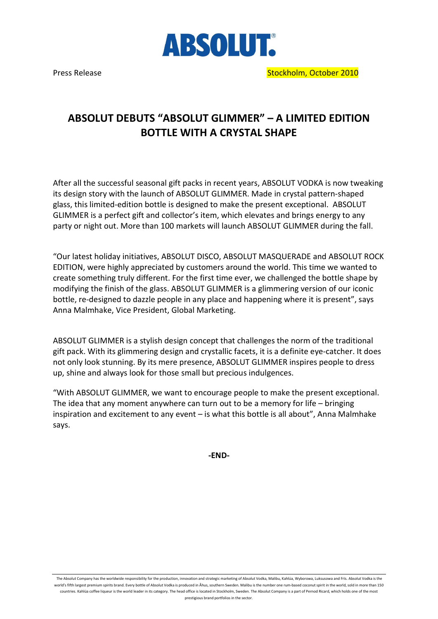

## ABSOLUT DEBUTS "ABSOLUT GLIMMER" – A LIMITED EDITION BOTTLE WITH A CRYSTAL SHAPE

After all the successful seasonal gift packs in recent years, ABSOLUT VODKA is now tweaking its design story with the launch of ABSOLUT GLIMMER. Made in crystal pattern-shaped glass, this limited-edition bottle is designed to make the present exceptional. ABSOLUT GLIMMER is a perfect gift and collector's item, which elevates and brings energy to any party or night out. More than 100 markets will launch ABSOLUT GLIMMER during the fall.

"Our latest holiday initiatives, ABSOLUT DISCO, ABSOLUT MASQUERADE and ABSOLUT ROCK EDITION, were highly appreciated by customers around the world. This time we wanted to create something truly different. For the first time ever, we challenged the bottle shape by modifying the finish of the glass. ABSOLUT GLIMMER is a glimmering version of our iconic bottle, re-designed to dazzle people in any place and happening where it is present", says Anna Malmhake, Vice President, Global Marketing.

ABSOLUT GLIMMER is a stylish design concept that challenges the norm of the traditional gift pack. With its glimmering design and crystallic facets, it is a definite eye-catcher. It does not only look stunning. By its mere presence, ABSOLUT GLIMMER inspires people to dress up, shine and always look for those small but precious indulgences.

"With ABSOLUT GLIMMER, we want to encourage people to make the present exceptional. The idea that any moment anywhere can turn out to be a memory for life – bringing inspiration and excitement to any event – is what this bottle is all about", Anna Malmhake says.

-END-